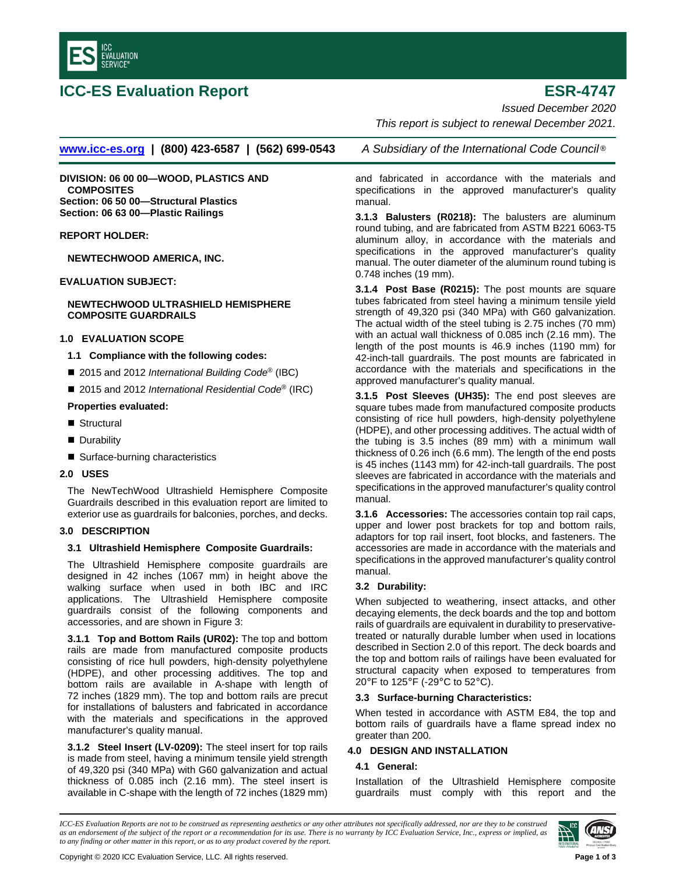

# **ICC-ES Evaluation Report ESR-4747**

*Issued December 2020*

*This report is subject to renewal December 2021.*

**[www.icc-es.org](http://www.icc-es.org/) | (800) 423-6587 | (562) 699-0543** *A Subsidiary of the International Code Council* ®

**DIVISION: 06 00 00—WOOD, PLASTICS AND COMPOSITES Section: 06 50 00—Structural Plastics Section: 06 63 00—Plastic Railings**

**REPORT HOLDER:**

**NEWTECHWOOD AMERICA, INC.**

**EVALUATION SUBJECT:**

### **NEWTECHWOOD ULTRASHIELD HEMISPHERE COMPOSITE GUARDRAILS**

#### **1.0 EVALUATION SCOPE**

- **1.1 Compliance with the following codes:**
- 2015 and 2012 *International Building Code<sup>®</sup>* (IBC)
- 2015 and 2012 *International Residential Code*<sup>®</sup> (IRC)

# **Properties evaluated:**

- Structural
- **Durability**
- Surface-burning characteristics

#### **2.0 USES**

The NewTechWood Ultrashield Hemisphere Composite Guardrails described in this evaluation report are limited to exterior use as guardrails for balconies, porches, and decks.

# **3.0 DESCRIPTION**

#### **3.1 Ultrashield Hemisphere Composite Guardrails:**

The Ultrashield Hemisphere composite guardrails are designed in 42 inches (1067 mm) in height above the walking surface when used in both IBC and IRC applications. The Ultrashield Hemisphere composite guardrails consist of the following components and accessories, and are shown in Figure 3:

**3.1.1 Top and Bottom Rails (UR02):** The top and bottom rails are made from manufactured composite products consisting of rice hull powders, high-density polyethylene (HDPE), and other processing additives. The top and bottom rails are available in A-shape with length of 72 inches (1829 mm). The top and bottom rails are precut for installations of balusters and fabricated in accordance with the materials and specifications in the approved manufacturer's quality manual.

**3.1.2 Steel Insert (LV-0209):** The steel insert for top rails is made from steel, having a minimum tensile yield strength of 49,320 psi (340 MPa) with G60 galvanization and actual thickness of 0.085 inch (2.16 mm). The steel insert is available in C-shape with the length of 72 inches (1829 mm)

and fabricated in accordance with the materials and specifications in the approved manufacturer's quality manual.

**3.1.3 Balusters (R0218):** The balusters are aluminum round tubing, and are fabricated from ASTM B221 6063-T5 aluminum alloy, in accordance with the materials and specifications in the approved manufacturer's quality manual. The outer diameter of the aluminum round tubing is 0.748 inches (19 mm).

**3.1.4 Post Base (R0215):** The post mounts are square tubes fabricated from steel having a minimum tensile yield strength of 49,320 psi (340 MPa) with G60 galvanization. The actual width of the steel tubing is 2.75 inches (70 mm) with an actual wall thickness of 0.085 inch (2.16 mm). The length of the post mounts is 46.9 inches (1190 mm) for 42-inch-tall guardrails. The post mounts are fabricated in accordance with the materials and specifications in the approved manufacturer's quality manual.

**3.1.5 Post Sleeves (UH35):** The end post sleeves are square tubes made from manufactured composite products consisting of rice hull powders, high-density polyethylene (HDPE), and other processing additives. The actual width of the tubing is 3.5 inches (89 mm) with a minimum wall thickness of 0.26 inch (6.6 mm). The length of the end posts is 45 inches (1143 mm) for 42-inch-tall guardrails. The post sleeves are fabricated in accordance with the materials and specifications in the approved manufacturer's quality control manual.

**3.1.6 Accessories:** The accessories contain top rail caps, upper and lower post brackets for top and bottom rails, adaptors for top rail insert, foot blocks, and fasteners. The accessories are made in accordance with the materials and specifications in the approved manufacturer's quality control manual.

# **3.2 Durability:**

When subjected to weathering, insect attacks, and other decaying elements, the deck boards and the top and bottom rails of guardrails are equivalent in durability to preservativetreated or naturally durable lumber when used in locations described in Section 2.0 of this report. The deck boards and the top and bottom rails of railings have been evaluated for structural capacity when exposed to temperatures from 20°F to 125°F (-29°C to 52°C).

#### **3.3 Surface-burning Characteristics:**

When tested in accordance with ASTM E84, the top and bottom rails of guardrails have a flame spread index no greater than 200.

# **4.0 DESIGN AND INSTALLATION**

# **4.1 General:**

Installation of the Ultrashield Hemisphere composite guardrails must comply with this report and the

*ICC-ES Evaluation Reports are not to be construed as representing aesthetics or any other attributes not specifically addressed, nor are they to be construed as an endorsement of the subject of the report or a recommendation for its use. There is no warranty by ICC Evaluation Service, Inc., express or implied, as to any finding or other matter in this report, or as to any product covered by the report.*

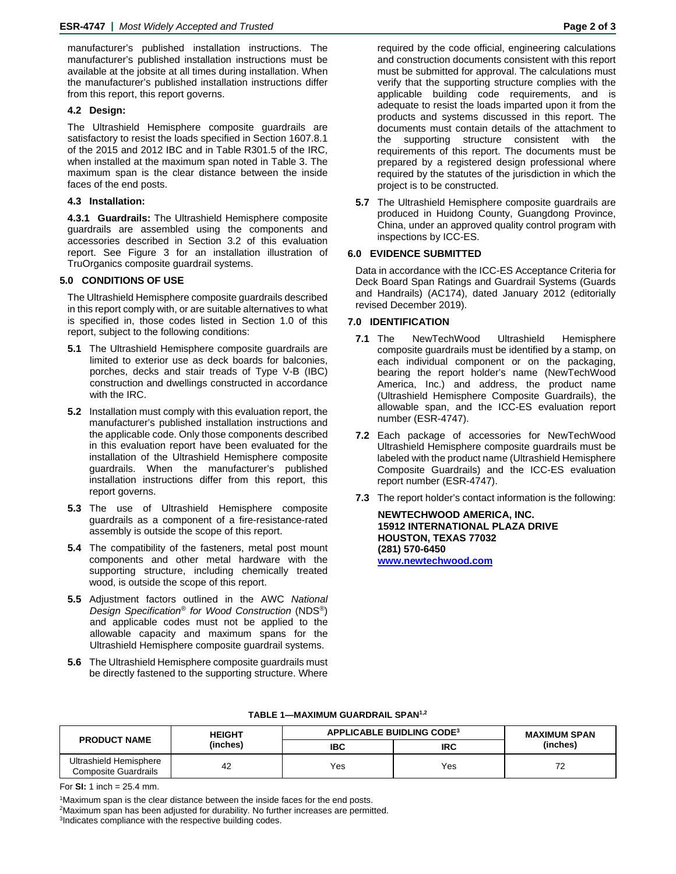manufacturer's published installation instructions. The manufacturer's published installation instructions must be available at the jobsite at all times during installation. When the manufacturer's published installation instructions differ from this report, this report governs.

# **4.2 Design:**

The Ultrashield Hemisphere composite guardrails are satisfactory to resist the loads specified in Section 1607.8.1 of the 2015 and 2012 IBC and in Table R301.5 of the IRC, when installed at the maximum span noted in Table 3. The maximum span is the clear distance between the inside faces of the end posts.

#### **4.3 Installation:**

**4.3.1 Guardrails:** The Ultrashield Hemisphere composite guardrails are assembled using the components and accessories described in Section 3.2 of this evaluation report. See Figure 3 for an installation illustration of TruOrganics composite guardrail systems.

# **5.0 CONDITIONS OF USE**

The Ultrashield Hemisphere composite guardrails described in this report comply with, or are suitable alternatives to what is specified in, those codes listed in Section 1.0 of this report, subject to the following conditions:

- **5.1** The Ultrashield Hemisphere composite guardrails are limited to exterior use as deck boards for balconies, porches, decks and stair treads of Type V-B (IBC) construction and dwellings constructed in accordance with the IRC.
- **5.2** Installation must comply with this evaluation report, the manufacturer's published installation instructions and the applicable code. Only those components described in this evaluation report have been evaluated for the installation of the Ultrashield Hemisphere composite guardrails. When the manufacturer's published installation instructions differ from this report, this report governs.
- **5.3** The use of Ultrashield Hemisphere composite guardrails as a component of a fire-resistance-rated assembly is outside the scope of this report.
- **5.4** The compatibility of the fasteners, metal post mount components and other metal hardware with the supporting structure, including chemically treated wood, is outside the scope of this report.
- **5.5** Adjustment factors outlined in the AWC *National Design Specification® for Wood Construction* (NDS®) and applicable codes must not be applied to the allowable capacity and maximum spans for the Ultrashield Hemisphere composite guardrail systems.
- **5.6** The Ultrashield Hemisphere composite guardrails must be directly fastened to the supporting structure. Where

required by the code official, engineering calculations and construction documents consistent with this report must be submitted for approval. The calculations must verify that the supporting structure complies with the applicable building code requirements, and is adequate to resist the loads imparted upon it from the products and systems discussed in this report. The documents must contain details of the attachment to the supporting structure consistent with the requirements of this report. The documents must be prepared by a registered design professional where required by the statutes of the jurisdiction in which the project is to be constructed.

**5.7** The Ultrashield Hemisphere composite guardrails are produced in Huidong County, Guangdong Province, China, under an approved quality control program with inspections by ICC-ES.

# **6.0 EVIDENCE SUBMITTED**

Data in accordance with the ICC-ES Acceptance Criteria for Deck Board Span Ratings and Guardrail Systems (Guards and Handrails) (AC174), dated January 2012 (editorially revised December 2019).

#### **7.0 IDENTIFICATION**

- **7.1** The NewTechWood Ultrashield Hemisphere composite guardrails must be identified by a stamp, on each individual component or on the packaging, bearing the report holder's name (NewTechWood America, Inc.) and address, the product name (Ultrashield Hemisphere Composite Guardrails), the allowable span, and the ICC-ES evaluation report number (ESR-4747).
- **7.2** Each package of accessories for NewTechWood Ultrashield Hemisphere composite guardrails must be labeled with the product name (Ultrashield Hemisphere Composite Guardrails) and the ICC-ES evaluation report number (ESR-4747).
- **7.3** The report holder's contact information is the following:

**NEWTECHWOOD AMERICA, INC. 15912 INTERNATIONAL PLAZA DRIVE HOUSTON, TEXAS 77032 (281) 570-6450 [www.newtechwood.com](http://www.newtechwood.com/)**

| <b>PRODUCT NAME</b>                            | <b>HEIGHT</b><br>(inches) | APPLICABLE BUIDLING CODE <sup>3</sup> |            | <b>MAXIMUM SPAN</b> |
|------------------------------------------------|---------------------------|---------------------------------------|------------|---------------------|
|                                                |                           | <b>IBC</b>                            | <b>IRC</b> | (inches)            |
| Ultrashield Hemisphere<br>Composite Guardrails | 42                        | Yes                                   | Yes        |                     |

#### **TABLE 1—MAXIMUM GUARDRAIL SPAN1,2**

For **SI:** 1 inch = 25.4 mm.

<sup>1</sup>Maximum span is the clear distance between the inside faces for the end posts. <sup>2</sup>Maximum span has been adjusted for durability. No further increases are permitted. <sup>3</sup>Indicates compliance with the respective building codes.